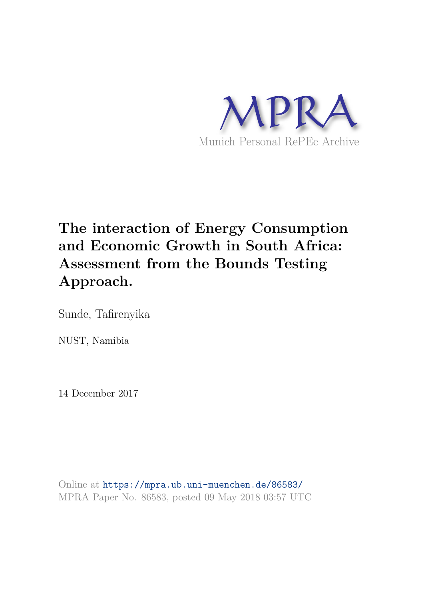

# **The interaction of Energy Consumption and Economic Growth in South Africa: Assessment from the Bounds Testing Approach.**

Sunde, Tafirenyika

NUST, Namibia

14 December 2017

Online at https://mpra.ub.uni-muenchen.de/86583/ MPRA Paper No. 86583, posted 09 May 2018 03:57 UTC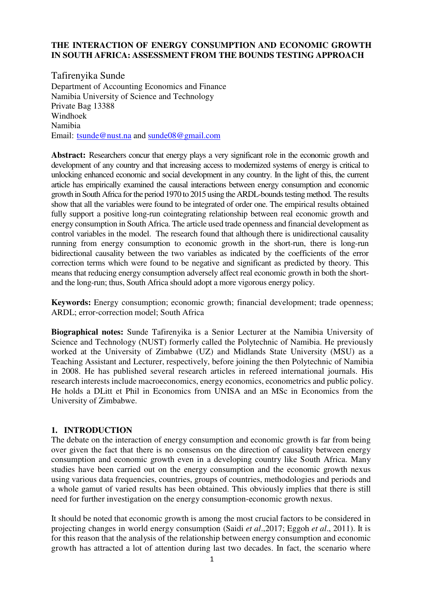# **THE INTERACTION OF ENERGY CONSUMPTION AND ECONOMIC GROWTH IN SOUTH AFRICA: ASSESSMENT FROM THE BOUNDS TESTING APPROACH**

Tafirenyika Sunde Department of Accounting Economics and Finance Namibia University of Science and Technology Private Bag 13388 Windhoek Namibia Email: [tsunde@nust.na](mailto:tsunde@nust.na) and [sunde08@gmail.com](mailto:sunde08@gmail.com)

**Abstract:** Researchers concur that energy plays a very significant role in the economic growth and development of any country and that increasing access to modernized systems of energy is critical to unlocking enhanced economic and social development in any country. In the light of this, the current article has empirically examined the causal interactions between energy consumption and economic growth in South Africa for the period 1970 to 2015 using the ARDL-bounds testing method. The results show that all the variables were found to be integrated of order one. The empirical results obtained fully support a positive long-run cointegrating relationship between real economic growth and energy consumption in South Africa. The article used trade openness and financial development as control variables in the model. The research found that although there is unidirectional causality running from energy consumption to economic growth in the short-run, there is long-run bidirectional causality between the two variables as indicated by the coefficients of the error correction terms which were found to be negative and significant as predicted by theory. This means that reducing energy consumption adversely affect real economic growth in both the shortand the long-run; thus, South Africa should adopt a more vigorous energy policy.

**Keywords:** Energy consumption; economic growth; financial development; trade openness; ARDL; error‐correction model; South Africa

**Biographical notes:** Sunde Tafirenyika is a Senior Lecturer at the Namibia University of Science and Technology (NUST) formerly called the Polytechnic of Namibia. He previously worked at the University of Zimbabwe (UZ) and Midlands State University (MSU) as a Teaching Assistant and Lecturer, respectively, before joining the then Polytechnic of Namibia in 2008. He has published several research articles in refereed international journals. His research interests include macroeconomics, energy economics, econometrics and public policy. He holds a DLitt et Phil in Economics from UNISA and an MSc in Economics from the University of Zimbabwe.

# **1. INTRODUCTION**

The debate on the interaction of energy consumption and economic growth is far from being over given the fact that there is no consensus on the direction of causality between energy consumption and economic growth even in a developing country like South Africa. Many studies have been carried out on the energy consumption and the economic growth nexus using various data frequencies, countries, groups of countries, methodologies and periods and a whole gamut of varied results has been obtained. This obviously implies that there is still need for further investigation on the energy consumption-economic growth nexus.

It should be noted that economic growth is among the most crucial factors to be considered in projecting changes in world energy consumption (Saidi *et al*.,2017; Eggoh *et al*., 2011). It is for this reason that the analysis of the relationship between energy consumption and economic growth has attracted a lot of attention during last two decades. In fact, the scenario where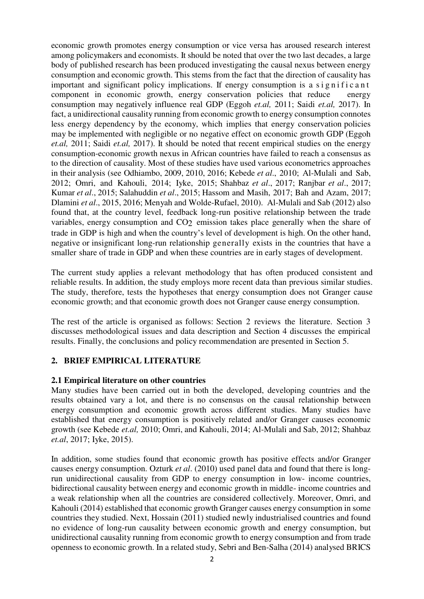economic growth promotes energy consumption or vice versa has aroused research interest among policymakers and economists. It should be noted that over the two last decades, a large body of published research has been produced investigating the causal nexus between energy consumption and economic growth. This stems from the fact that the direction of causality has important and significant policy implications. If energy consumption is a significant component in economic growth, energy conservation policies that reduce energy consumption may negatively influence real GDP (Eggoh *et.al,* 2011; Saidi *et.al,* 2017). In fact, a unidirectional causality running from economic growth to energy consumption connotes less energy dependency by the economy, which implies that energy conservation policies may be implemented with negligible or no negative effect on economic growth GDP (Eggoh *et.al,* 2011; Saidi *et.al,* 2017). It should be noted that recent empirical studies on the energy consumption-economic growth nexus in African countries have failed to reach a consensus as to the direction of causality. Most of these studies have used various econometrics approaches in their analysis (see Odhiambo, 2009, 2010, 2016; Kebede *et al*., 2010; Al-Mulali and Sab, 2012; Omri, and Kahouli, 2014; Iyke, 2015; Shahbaz *et al*., 2017; Ranjbar *et al*., 2017; Kumar *et al*., 2015; Salahuddin *et al*., 2015; Hassom and Masih, 2017; Bah and Azam, 2017; Dlamini *et al*., 2015, 2016; Menyah and Wolde-Rufael, 2010). Al-Mulali and Sab (2012) also found that, at the country level, feedback long-run positive relationship between the trade variables, energy consumption and CO<sub>2</sub> emission takes place generally when the share of trade in GDP is high and when the country's level of development is high. On the other hand, negative or insignificant long-run relationship generally exists in the countries that have a smaller share of trade in GDP and when these countries are in early stages of development.

The current study applies a relevant methodology that has often produced consistent and reliable results. In addition, the study employs more recent data than previous similar studies. The study, therefore, tests the hypotheses that energy consumption does not Granger cause economic growth; and that economic growth does not Granger cause energy consumption.

The rest of the article is organised as follows: Section 2 reviews the literature. Section 3 discusses methodological issues and data description and Section 4 discusses the empirical results. Finally, the conclusions and policy recommendation are presented in Section 5.

# **2. BRIEF EMPIRICAL LITERATURE**

## **2.1 Empirical literature on other countries**

Many studies have been carried out in both the developed, developing countries and the results obtained vary a lot, and there is no consensus on the causal relationship between energy consumption and economic growth across different studies. Many studies have established that energy consumption is positively related and/or Granger causes economic growth (see Kebede *et.al,* 2010; Omri, and Kahouli, 2014; Al-Mulali and Sab, 2012; Shahbaz *et.al*, 2017; Iyke, 2015).

In addition, some studies found that economic growth has positive effects and/or Granger causes energy consumption. Ozturk *et al*. (2010) used panel data and found that there is longrun unidirectional causality from GDP to energy consumption in low- income countries, bidirectional causality between energy and economic growth in middle- income countries and a weak relationship when all the countries are considered collectively. Moreover, Omri, and Kahouli (2014) established that economic growth Granger causes energy consumption in some countries they studied. Next, Hossain (2011) studied newly industrialised countries and found no evidence of long-run causality between economic growth and energy consumption, but unidirectional causality running from economic growth to energy consumption and from trade openness to economic growth. In a related study, Sebri and Ben-Salha (2014) analysed BRICS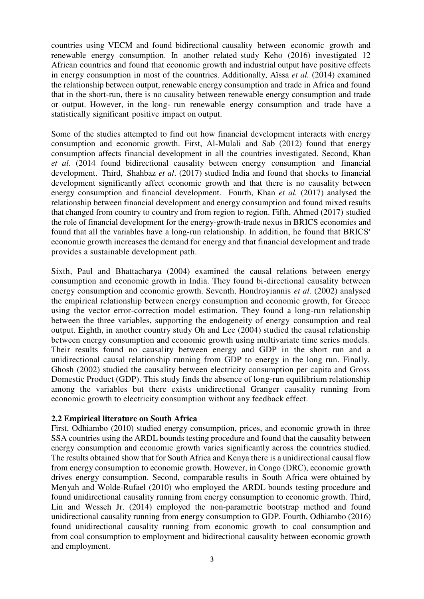countries using VECM and found bidirectional causality between economic growth and renewable energy consumption. In another related study Keho (2016) investigated 12 African countries and found that economic growth and industrial output have positive effects in energy consumption in most of the countries. Additionally, Aïssa *et al.* (2014) examined the relationship between output, renewable energy consumption and trade in Africa and found that in the short-run, there is no causality between renewable energy consumption and trade or output. However, in the long- run renewable energy consumption and trade have a statistically significant positive impact on output.

Some of the studies attempted to find out how financial development interacts with energy consumption and economic growth. First, Al-Mulali and Sab (2012) found that energy consumption affects financial development in all the countries investigated. Second, Khan *et al*. (2014 found bidirectional causality between energy consumption and financial development. Third, Shahbaz *et al*. (2017) studied India and found that shocks to financial development significantly affect economic growth and that there is no causality between energy consumption and financial development. Fourth, Khan *et al.* (2017) analysed the relationship between financial development and energy consumption and found mixed results that changed from country to country and from region to region. Fifth, Ahmed (2017) studied the role of financial development for the energy-growth-trade nexus in BRICS economies and found that all the variables have a long-run relationship. In addition, he found that BRICS′ economic growth increases the demand for energy and that financial development and trade provides a sustainable development path.

Sixth, Paul and Bhattacharya (2004) examined the causal relations between energy consumption and economic growth in India. They found bi-directional causality between energy consumption and economic growth. Seventh, Hondroyiannis *et al*. (2002) analysed the empirical relationship between energy consumption and economic growth, for Greece using the vector error-correction model estimation. They found a long-run relationship between the three variables, supporting the endogeneity of energy consumption and real output. Eighth, in another country study Oh and Lee (2004) studied the causal relationship between energy consumption and economic growth using multivariate time series models. Their results found no causality between energy and GDP in the short run and a unidirectional causal relationship running from GDP to energy in the long run. Finally, Ghosh (2002) studied the causality between electricity consumption per capita and Gross Domestic Product (GDP). This study finds the absence of long-run equilibrium relationship among the variables but there exists unidirectional Granger causality running from economic growth to electricity consumption without any feedback effect.

# **2.2 Empirical literature on South Africa**

First, Odhiambo (2010) studied energy consumption, prices, and economic growth in three SSA countries using the ARDL bounds testing procedure and found that the causality between energy consumption and economic growth varies significantly across the countries studied. The results obtained show that for South Africa and Kenya there is a unidirectional causal flow from energy consumption to economic growth. However, in Congo (DRC), economic growth drives energy consumption. Second, comparable results in South Africa were obtained by Menyah and Wolde-Rufael (2010) who employed the ARDL bounds testing procedure and found unidirectional causality running from energy consumption to economic growth. Third, Lin and Wesseh Jr. (2014) employed the non-parametric bootstrap method and found unidirectional causality running from energy consumption to GDP. Fourth, Odhiambo (2016) found unidirectional causality running from economic growth to coal consumption and from coal consumption to employment and bidirectional causality between economic growth and employment.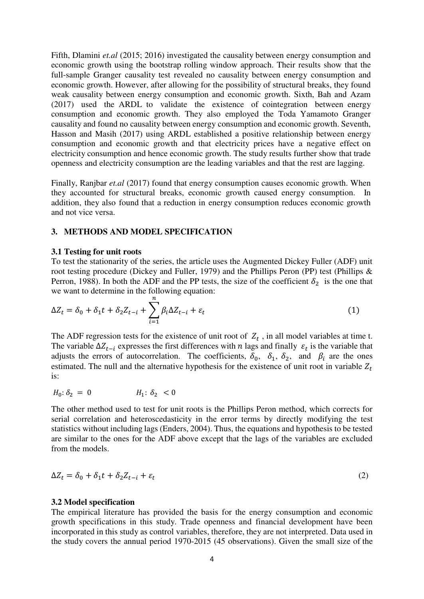Fifth, Dlamini *et.al* (2015; 2016) investigated the causality between energy consumption and economic growth using the bootstrap rolling window approach. Their results show that the full-sample Granger causality test revealed no causality between energy consumption and economic growth. However, after allowing for the possibility of structural breaks, they found weak causality between energy consumption and economic growth. Sixth, Bah and Azam (2017) used the ARDL to validate the existence of cointegration between energy consumption and economic growth. They also employed the Toda Yamamoto Granger causality and found no causality between energy consumption and economic growth. Seventh, Hasson and Masih (2017) using ARDL established a positive relationship between energy consumption and economic growth and that electricity prices have a negative effect on electricity consumption and hence economic growth. The study results further show that trade openness and electricity consumption are the leading variables and that the rest are lagging.

Finally, Ranjbar *et.al* (2017) found that energy consumption causes economic growth. When they accounted for structural breaks, economic growth caused energy consumption. In addition, they also found that a reduction in energy consumption reduces economic growth and not vice versa.

## **3. METHODS AND MODEL SPECIFICATION**

#### **3.1 Testing for unit roots**

To test the stationarity of the series, the article uses the Augmented Dickey Fuller (ADF) unit root testing procedure (Dickey and Fuller, 1979) and the Phillips Peron (PP) test (Phillips & Perron, 1988). In both the ADF and the PP tests, the size of the coefficient  $\delta_2$  is the one that we want to determine in the following equation:

$$
\Delta Z_t = \delta_0 + \delta_1 t + \delta_2 Z_{t-i} + \sum_{i=1}^n \beta_i \Delta Z_{t-i} + \varepsilon_t \tag{1}
$$

The ADF regression tests for the existence of unit root of  $Z_t$ , in all model variables at time t. The variable  $\Delta Z_{t-i}$  expresses the first differences with *n* lags and finally  $\varepsilon_t$  is the variable that adjusts the errors of autocorrelation. The coefficients,  $\delta_0$ ,  $\delta_1$ ,  $\delta_2$ , and  $\beta_i$  are the ones estimated. The null and the alternative hypothesis for the existence of unit root in variable  $Z_t$ is:

$$
H_0: \delta_2 = 0 \t H_1: \delta_2 < 0
$$

The other method used to test for unit roots is the Phillips Peron method, which corrects for serial correlation and heteroscedasticity in the error terms by directly modifying the test statistics without including lags (Enders, 2004). Thus, the equations and hypothesis to be tested are similar to the ones for the ADF above except that the lags of the variables are excluded from the models.

$$
\Delta Z_t = \delta_0 + \delta_1 t + \delta_2 Z_{t-i} + \varepsilon_t \tag{2}
$$

#### **3.2 Model specification**

The empirical literature has provided the basis for the energy consumption and economic growth specifications in this study. Trade openness and financial development have been incorporated in this study as control variables, therefore, they are not interpreted. Data used in the study covers the annual period 1970-2015 (45 observations). Given the small size of the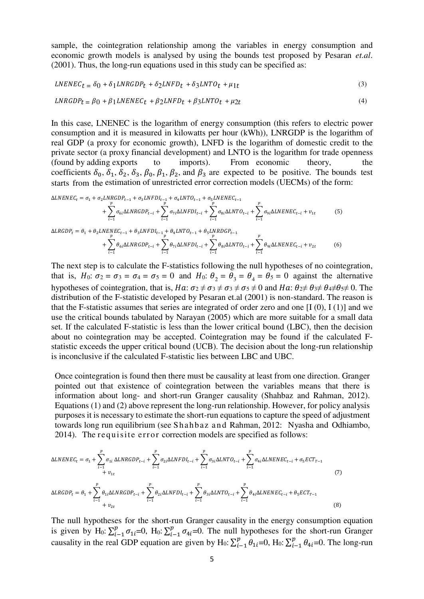sample, the cointegration relationship among the variables in energy consumption and economic growth models is analysed by using the bounds test proposed by Pesaran *et.al*. (2001). Thus, the long-run equations used in this study can be specified as:

$$
LNENEC_t = \delta_0 + \delta_1 LNRGDP_t + \delta_2 LNFD_t + \delta_3 LNTO_t + \mu_{1t}
$$
\n
$$
\tag{3}
$$

$$
LNRGDPt = \beta_0 + \beta_1 LNENEC_t + \beta_2 LNFD_t + \beta_3 LNTO_t + \mu_{2t}
$$
\n
$$
\tag{4}
$$

In this case, LNENEC is the logarithm of energy consumption (this refers to electric power consumption and it is measured in kilowatts per hour (kWh)), LNRGDP is the logarithm of real GDP (a proxy for economic growth), LNFD is the logarithm of domestic credit to the private sector (a proxy financial development) and LNTO is the logarithm for trade openness (found by adding exports to imports). From economic theory, the coefficients  $\delta_0$ ,  $\delta_1$ ,  $\delta_2$ ,  $\delta_3$ ,  $\beta_0$ ,  $\beta_1$ ,  $\beta_2$ , and  $\beta_3$  are expected to be positive. The bounds test starts from the estimation of unrestricted error correction models (UECMs) of the form:

$$
\Delta LNENEC_{t} = \sigma_{1} + \sigma_{2} LNRGDP_{t-1} + \sigma_{3} LNFDI_{t-1} + \sigma_{4} LNTO_{t-1} + \sigma_{5} LNENEC_{t-1} + \sum_{p}^{p} \sigma_{8i} \Delta LNENEC_{t-i} + \sum_{i=1}^{p} \sigma_{9i} \Delta LNENEC_{t-i} + \nu_{1t}
$$
\n(5)

$$
\Delta LRGDP_{t} = \theta_{1} + \theta_{2} LNENEC_{t-1} + \theta_{3} LNFDI_{t-1} + \theta_{4} LNTO_{t-1} + \theta_{5} LNRDGP_{t-1} + \sum_{i=1}^{p} \theta_{si} \Delta LNENEC_{t-i} + \sum_{i=1}^{p} \theta_{si} \Delta LNENEC_{t-i} + \nu_{2t}
$$
(6)

The next step is to calculate the F-statistics following the null hypotheses of no cointegration, that is,  $H_0$ :  $\sigma_2 = \sigma_3 = \sigma_4 = \sigma_5 = 0$  and  $H_0$ :  $\theta_2 = \theta_3 = \theta_4 = \theta_5 = 0$  against the alternative hypotheses of cointegration, that is,  $Ha: \sigma_2 \neq \sigma_3 \neq \sigma_5 \neq 0$  and  $Ha: \theta_2 \neq \theta_3 \neq \theta_4 \neq \theta_5 \neq 0$ . The distribution of the F-statistic developed by Pesaran et.al (2001) is non-standard. The reason is that the F-statistic assumes that series are integrated of order zero and one  $[I(0), I(1)]$  and we use the critical bounds tabulated by Narayan (2005) which are more suitable for a small data set. If the calculated F-statistic is less than the lower critical bound (LBC), then the decision about no cointegration may be accepted. Cointegration may be found if the calculated Fstatistic exceeds the upper critical bound (UCB). The decision about the long-run relationship is inconclusive if the calculated F-statistic lies between LBC and UBC.

Once cointegration is found then there must be causality at least from one direction. Granger pointed out that existence of cointegration between the variables means that there is information about long- and short-run Granger causality (Shahbaz and Rahman, 2012). Equations (1) and (2) above represent the long-run relationship. However, for policy analysis purposes it is necessary to estimate the short-run equations to capture the speed of adjustment towards long run equilibrium (see Shahbaz and Rahman, 2012: Nyasha and Odhiambo, 2014). The requisite error correction models are specified as follows:

$$
\Delta LNENEC_{t} = \sigma_{1} + \sum_{i=1}^{p} \sigma_{1i} \Delta LNRGDP_{t-i} + \sum_{i=1}^{p} \sigma_{2i} \Delta LNFDI_{t-i} + \sum_{i=1}^{p} \sigma_{3i} \Delta LNTO_{t-i} + \sum_{i=1}^{p} \sigma_{4i} \Delta LNENEC_{t-i} + \sigma_{5} ECT_{T-1} + \sigma_{6} ECT_{T-1}
$$
\n
$$
\Delta LRGDP_{t} = \theta_{1} + \sum_{i=1}^{p} \theta_{1i} \Delta LNRGDP_{t-i} + \sum_{i=1}^{p} \theta_{2i} \Delta LNFDI_{t-i} + \sum_{i=1}^{p} \theta_{3i} \Delta LNTO_{t-i} + \sum_{i=1}^{p} \theta_{4i} \Delta LNENEC_{t-i} + \theta_{5} ECT_{T-1}
$$
\n
$$
+ v_{2t}
$$
\n(8)

The null hypotheses for the short-run Granger causality in the energy consumption equation is given by H<sub>0</sub>:  $\sum_{i=1}^{p} \sigma_{1i} = 0$ , H<sub>0</sub>:  $\sum_{i=1}^{p} \sigma_{4i} = 0$ . The null hypotheses for the short-run Granger causality in the real GDP equation are given by H<sub>0</sub>:  $\sum_{i=1}^{p} \theta_{1i} = 0$ , H<sub>0</sub>:  $\sum_{i=1}^{p} \theta_{4i} = 0$ . The long-run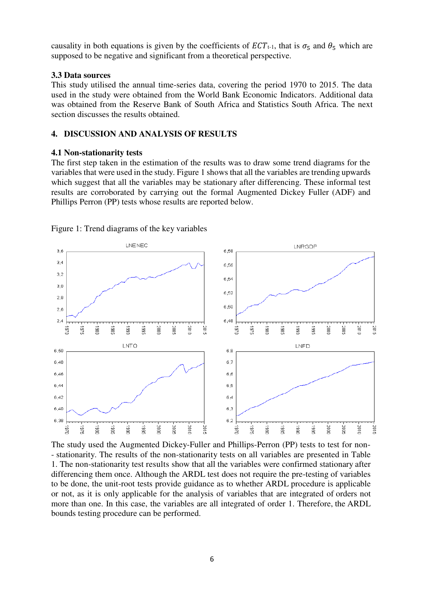causality in both equations is given by the coefficients of  $ECT_{t-1}$ , that is  $\sigma_5$  and  $\theta_5$  which are supposed to be negative and significant from a theoretical perspective.

## **3.3 Data sources**

This study utilised the annual time-series data, covering the period 1970 to 2015. The data used in the study were obtained from the World Bank Economic Indicators. Additional data was obtained from the Reserve Bank of South Africa and Statistics South Africa. The next section discusses the results obtained.

## **4. DISCUSSION AND ANALYSIS OF RESULTS**

## **4.1 Non-stationarity tests**

The first step taken in the estimation of the results was to draw some trend diagrams for the variables that were used in the study. Figure 1 shows that all the variables are trending upwards which suggest that all the variables may be stationary after differencing. These informal test results are corroborated by carrying out the formal Augmented Dickey Fuller (ADF) and Phillips Perron (PP) tests whose results are reported below.



Figure 1: Trend diagrams of the key variables

The study used the Augmented Dickey-Fuller and Phillips-Perron (PP) tests to test for non- - stationarity. The results of the non-stationarity tests on all variables are presented in Table 1. The non-stationarity test results show that all the variables were confirmed stationary after differencing them once. Although the ARDL test does not require the pre-testing of variables to be done, the unit-root tests provide guidance as to whether ARDL procedure is applicable or not, as it is only applicable for the analysis of variables that are integrated of orders not more than one. In this case, the variables are all integrated of order 1. Therefore, the ARDL bounds testing procedure can be performed.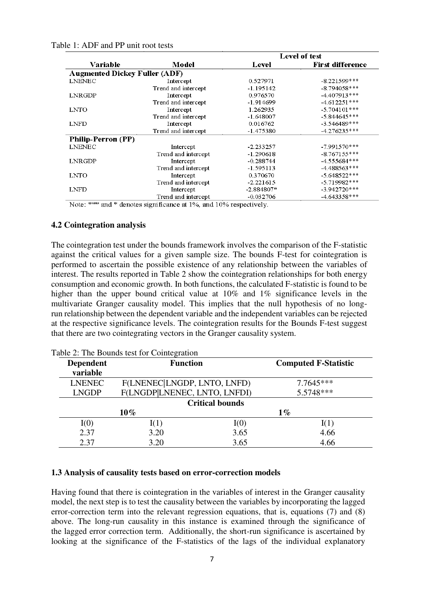| Table 1: ADF and PP unit root tests |
|-------------------------------------|
|-------------------------------------|

|                                      | Model               |              | <b>Level of test</b>    |
|--------------------------------------|---------------------|--------------|-------------------------|
| Variable                             |                     | Level        | <b>First difference</b> |
| <b>Augmented Dickey Fuller (ADF)</b> |                     |              |                         |
| <b>LNENEC</b>                        | Intercept           | 0.527971     | $-8.221599***$          |
|                                      | Trend and intercept | -1.195142    | $-8.794058***$          |
| LNRGDP                               | Intercept           | 0.976570     | $-4.407913***$          |
|                                      | Trend and intercept | $-1.914699$  | $-4.612251***$          |
| <b>LNTO</b>                          | Intercept           | 1.262935     | $-5.704101***$          |
|                                      | Trend and intercept | $-1.648007$  | $-5.844645***$          |
| LNFD                                 | Intercept           | 0.016762     | $-3.546489***$          |
|                                      | Trend and intercept | $-1.475380$  | $-4.276235***$          |
| <b>Philip-Perron (PP)</b>            |                     |              |                         |
| <b>LNENEC</b>                        | Intercept           | $-2.233257$  | $-7.991570***$          |
|                                      | Trend and intercept | $-1.290618$  | $-8.767155***$          |
| LNRGDP                               | Intercept           | $-0.288744$  | $-4.555684***$          |
|                                      | Trend and intercept | -1.595113    | $-4.488563$ ***         |
| LNTO                                 | Intercept           | 0.370670     | $-5.648522***$          |
|                                      | Trend and intercept | $-2.221615$  | $-5.719982***$          |
| <b>LNFD</b>                          | Intercept           | $-2.884807*$ | $-3.942720***$          |
|                                      | Trend and intercept | $-0.032706$  | $-4.643358***$          |

Note: \*\*\* and \* denotes significance at 1%, and 10% respectively.

## **4.2 Cointegration analysis**

The cointegration test under the bounds framework involves the comparison of the F-statistic against the critical values for a given sample size. The bounds F-test for cointegration is performed to ascertain the possible existence of any relationship between the variables of interest. The results reported in Table 2 show the cointegration relationships for both energy consumption and economic growth. In both functions, the calculated F-statistic is found to be higher than the upper bound critical value at 10% and 1% significance levels in the multivariate Granger causality model. This implies that the null hypothesis of no longrun relationship between the dependent variable and the independent variables can be rejected at the respective significance levels. The cointegration results for the Bounds F-test suggest that there are two cointegrating vectors in the Granger causality system.

| <b>Dependent</b><br>variable | <b>Function</b>              | <b>Computed F-Statistic</b> |  |  |  |
|------------------------------|------------------------------|-----------------------------|--|--|--|
| <b>LNENEC</b>                | F(LNENEC LNGDP, LNTO, LNFD)  | $7.7645***$<br>5.5748***    |  |  |  |
| <b>LNGDP</b>                 | F(LNGDP LNENEC, LNTO, LNFDI) |                             |  |  |  |
| <b>Critical bounds</b>       |                              |                             |  |  |  |
|                              | $10\%$                       | $1\%$                       |  |  |  |
| I(0)                         | I(1)<br>I(0)                 | I(1)                        |  |  |  |
| 2.37                         | 3.65<br>3.20                 | 4.66                        |  |  |  |
| 2.37                         | 3.20<br>3.65                 | 4.66                        |  |  |  |

Table 2: The Bounds test for Cointegration

## **1.3 Analysis of causality tests based on error-correction models**

Having found that there is cointegration in the variables of interest in the Granger causality model, the next step is to test the causality between the variables by incorporating the lagged error-correction term into the relevant regression equations, that is, equations (7) and (8) above. The long-run causality in this instance is examined through the significance of the lagged error correction term. Additionally, the short-run significance is ascertained by looking at the significance of the F-statistics of the lags of the individual explanatory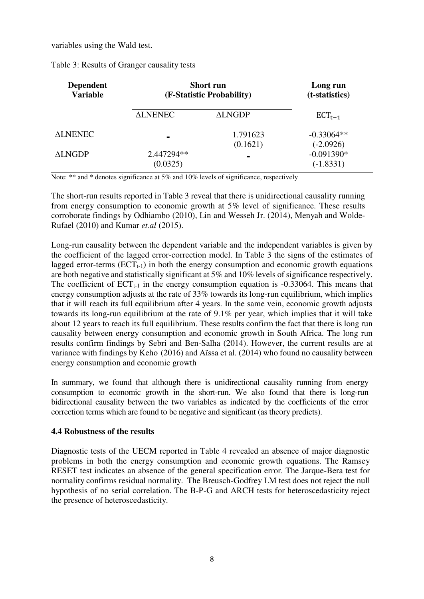variables using the Wald test.

| <b>Dependent</b><br><b>Variable</b> | <b>Short run</b><br>(F-Statistic Probability) |                      | Long run<br>(t-statistics)  |
|-------------------------------------|-----------------------------------------------|----------------------|-----------------------------|
|                                     | <b>ALNENEC</b>                                | <b>ALNGDP</b>        | $ECT_{t-1}$                 |
| <b>ALNENEC</b>                      | $\blacksquare$                                | 1.791623<br>(0.1621) | $-0.33064**$<br>$(-2.0926)$ |
| <b>ALNGDP</b>                       | 2.447294**<br>(0.0325)                        | $\blacksquare$       | $-0.091390*$<br>$(-1.8331)$ |

#### Table 3: Results of Granger causality tests

Note: \*\* and \* denotes significance at 5% and 10% levels of significance, respectively

The short-run results reported in Table 3 reveal that there is unidirectional causality running from energy consumption to economic growth at 5% level of significance. These results corroborate findings by Odhiambo (2010), Lin and Wesseh Jr. (2014), Menyah and Wolde-Rufael (2010) and Kumar *et.al* (2015).

Long-run causality between the dependent variable and the independent variables is given by the coefficient of the lagged error-correction model. In Table 3 the signs of the estimates of lagged error-terms  $(ECT<sub>t-1</sub>)$  in both the energy consumption and economic growth equations are both negative and statistically significant at 5% and 10% levels of significance respectively. The coefficient of  $ECT_{t-1}$  in the energy consumption equation is -0.33064. This means that energy consumption adjusts at the rate of 33% towards its long-run equilibrium, which implies that it will reach its full equilibrium after 4 years. In the same vein, economic growth adjusts towards its long-run equilibrium at the rate of 9.1% per year, which implies that it will take about 12 years to reach its full equilibrium. These results confirm the fact that there is long run causality between energy consumption and economic growth in South Africa. The long run results confirm findings by Sebri and Ben-Salha (2014). However, the current results are at variance with findings by Keho (2016) and Aïssa et al. (2014) who found no causality between energy consumption and economic growth

In summary, we found that although there is unidirectional causality running from energy consumption to economic growth in the short-run. We also found that there is long-run bidirectional causality between the two variables as indicated by the coefficients of the error correction terms which are found to be negative and significant (as theory predicts).

# **4.4 Robustness of the results**

Diagnostic tests of the UECM reported in Table 4 revealed an absence of major diagnostic problems in both the energy consumption and economic growth equations. The Ramsey RESET test indicates an absence of the general specification error. The Jarque-Bera test for normality confirms residual normality. The Breusch-Godfrey LM test does not reject the null hypothesis of no serial correlation. The B-P-G and ARCH tests for heteroscedasticity reject the presence of heteroscedasticity.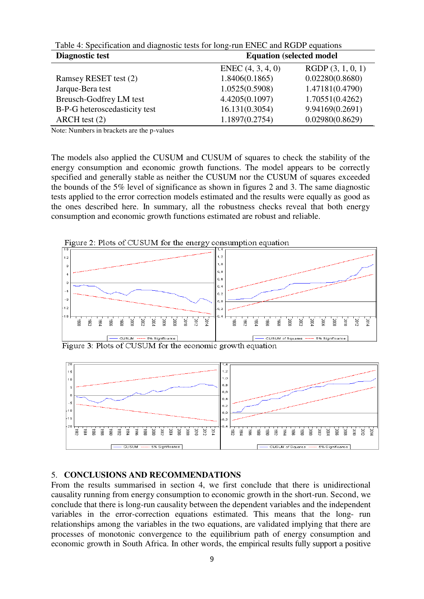| Table 4. Specification and diagnostic tests for fong-full ENEC and RODP equations |                                  |                  |  |
|-----------------------------------------------------------------------------------|----------------------------------|------------------|--|
| <b>Diagnostic test</b>                                                            | <b>Equation (selected model)</b> |                  |  |
|                                                                                   | ENEC $(4, 3, 4, 0)$              | RGDP(3, 1, 0, 1) |  |
| Ramsey RESET test (2)                                                             | 1.8406(0.1865)                   | 0.02280(0.8680)  |  |
| Jarque-Bera test                                                                  | 1.0525(0.5908)                   | 1.47181(0.4790)  |  |
| Breusch-Godfrey LM test                                                           | 4.4205(0.1097)                   | 1.70551(0.4262)  |  |
| B-P-G heteroscedasticity test                                                     | 16.131(0.3054)                   | 9.94169(0.2691)  |  |
| $ARCH$ test $(2)$                                                                 | 1.1897(0.2754)                   | 0.02980(0.8629)  |  |

Table 4: Specification and diagnostic tests for long-run ENEC and RGDP equations

Note: Numbers in brackets are the p-values

The models also applied the CUSUM and CUSUM of squares to check the stability of the energy consumption and economic growth functions. The model appears to be correctly specified and generally stable as neither the CUSUM nor the CUSUM of squares exceeded the bounds of the 5% level of significance as shown in figures 2 and 3. The same diagnostic tests applied to the error correction models estimated and the results were equally as good as the ones described here. In summary, all the robustness checks reveal that both energy consumption and economic growth functions estimated are robust and reliable.



Figure 2: Plots of CUSUM for the energy consumption equation





# 5. **CONCLUSIONS AND RECOMMENDATIONS**

From the results summarised in section 4, we first conclude that there is unidirectional causality running from energy consumption to economic growth in the short-run. Second, we conclude that there is long-run causality between the dependent variables and the independent variables in the error-correction equations estimated. This means that the long- run relationships among the variables in the two equations, are validated implying that there are processes of monotonic convergence to the equilibrium path of energy consumption and economic growth in South Africa. In other words, the empirical results fully support a positive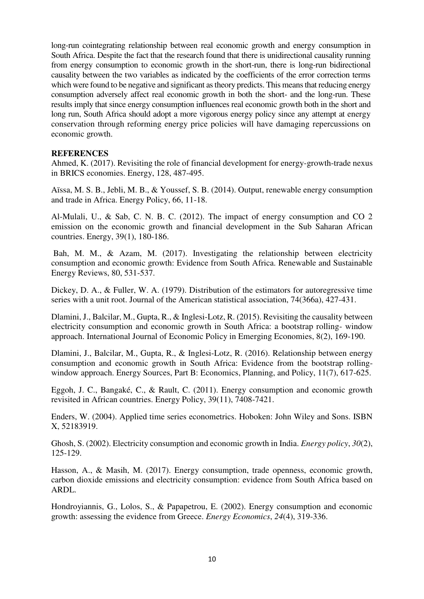long-run cointegrating relationship between real economic growth and energy consumption in South Africa. Despite the fact that the research found that there is unidirectional causality running from energy consumption to economic growth in the short-run, there is long-run bidirectional causality between the two variables as indicated by the coefficients of the error correction terms which were found to be negative and significant as theory predicts. This means that reducing energy consumption adversely affect real economic growth in both the short- and the long-run. These results imply that since energy consumption influences real economic growth both in the short and long run, South Africa should adopt a more vigorous energy policy since any attempt at energy conservation through reforming energy price policies will have damaging repercussions on economic growth.

# **REFERENCES**

Ahmed, K. (2017). Revisiting the role of financial development for energy-growth-trade nexus in BRICS economies. Energy, 128, 487-495.

Aïssa, M. S. B., Jebli, M. B., & Youssef, S. B. (2014). Output, renewable energy consumption and trade in Africa. Energy Policy, 66, 11-18.

Al-Mulali, U., & Sab, C. N. B. C. (2012). The impact of energy consumption and CO 2 emission on the economic growth and financial development in the Sub Saharan African countries. Energy, 39(1), 180-186.

 Bah, M. M., & Azam, M. (2017). Investigating the relationship between electricity consumption and economic growth: Evidence from South Africa. Renewable and Sustainable Energy Reviews, 80, 531-537.

Dickey, D. A., & Fuller, W. A. (1979). Distribution of the estimators for autoregressive time series with a unit root. Journal of the American statistical association, 74(366a), 427-431.

Dlamini, J., Balcilar, M., Gupta, R., & Inglesi-Lotz, R. (2015). Revisiting the causality between electricity consumption and economic growth in South Africa: a bootstrap rolling- window approach. International Journal of Economic Policy in Emerging Economies, 8(2), 169-190.

Dlamini, J., Balcilar, M., Gupta, R., & Inglesi-Lotz, R. (2016). Relationship between energy consumption and economic growth in South Africa: Evidence from the bootstrap rollingwindow approach. Energy Sources, Part B: Economics, Planning, and Policy, 11(7), 617-625.

Eggoh, J. C., Bangaké, C., & Rault, C. (2011). Energy consumption and economic growth revisited in African countries. Energy Policy, 39(11), 7408-7421.

Enders, W. (2004). Applied time series econometrics. Hoboken: John Wiley and Sons. ISBN X, 52183919.

Ghosh, S. (2002). Electricity consumption and economic growth in India. *Energy policy*, *30*(2), 125-129.

Hasson, A., & Masih, M. (2017). Energy consumption, trade openness, economic growth, carbon dioxide emissions and electricity consumption: evidence from South Africa based on ARDL.

Hondroyiannis, G., Lolos, S., & Papapetrou, E. (2002). Energy consumption and economic growth: assessing the evidence from Greece. *Energy Economics*, *24*(4), 319-336.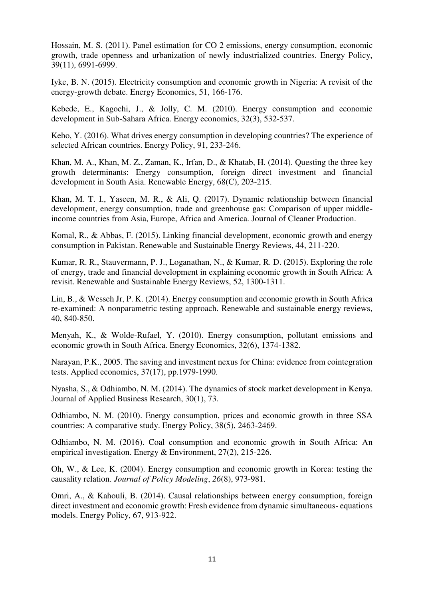Hossain, M. S. (2011). Panel estimation for CO 2 emissions, energy consumption, economic growth, trade openness and urbanization of newly industrialized countries. Energy Policy, 39(11), 6991-6999.

Iyke, B. N. (2015). Electricity consumption and economic growth in Nigeria: A revisit of the energy-growth debate. Energy Economics, 51, 166-176.

Kebede, E., Kagochi, J., & Jolly, C. M. (2010). Energy consumption and economic development in Sub-Sahara Africa. Energy economics, 32(3), 532-537.

Keho, Y. (2016). What drives energy consumption in developing countries? The experience of selected African countries. Energy Policy, 91, 233-246.

Khan, M. A., Khan, M. Z., Zaman, K., Irfan, D., & Khatab, H. (2014). Questing the three key growth determinants: Energy consumption, foreign direct investment and financial development in South Asia. Renewable Energy, 68(C), 203-215.

Khan, M. T. I., Yaseen, M. R., & Ali, Q. (2017). Dynamic relationship between financial development, energy consumption, trade and greenhouse gas: Comparison of upper middleincome countries from Asia, Europe, Africa and America. Journal of Cleaner Production.

Komal, R., & Abbas, F. (2015). Linking financial development, economic growth and energy consumption in Pakistan. Renewable and Sustainable Energy Reviews, 44, 211-220.

Kumar, R. R., Stauvermann, P. J., Loganathan, N., & Kumar, R. D. (2015). Exploring the role of energy, trade and financial development in explaining economic growth in South Africa: A revisit. Renewable and Sustainable Energy Reviews, 52, 1300-1311.

Lin, B., & Wesseh Jr, P. K. (2014). Energy consumption and economic growth in South Africa re-examined: A nonparametric testing approach. Renewable and sustainable energy reviews, 40, 840-850.

Menyah, K., & Wolde-Rufael, Y. (2010). Energy consumption, pollutant emissions and economic growth in South Africa. Energy Economics, 32(6), 1374-1382.

Narayan, P.K., 2005. The saving and investment nexus for China: evidence from cointegration tests. Applied economics, 37(17), pp.1979-1990.

Nyasha, S., & Odhiambo, N. M. (2014). The dynamics of stock market development in Kenya. Journal of Applied Business Research, 30(1), 73.

Odhiambo, N. M. (2010). Energy consumption, prices and economic growth in three SSA countries: A comparative study. Energy Policy, 38(5), 2463-2469.

Odhiambo, N. M. (2016). Coal consumption and economic growth in South Africa: An empirical investigation. Energy & Environment, 27(2), 215-226.

Oh, W., & Lee, K. (2004). Energy consumption and economic growth in Korea: testing the causality relation. *Journal of Policy Modeling*, *26*(8), 973-981.

Omri, A., & Kahouli, B. (2014). Causal relationships between energy consumption, foreign direct investment and economic growth: Fresh evidence from dynamic simultaneous- equations models. Energy Policy, 67, 913-922.